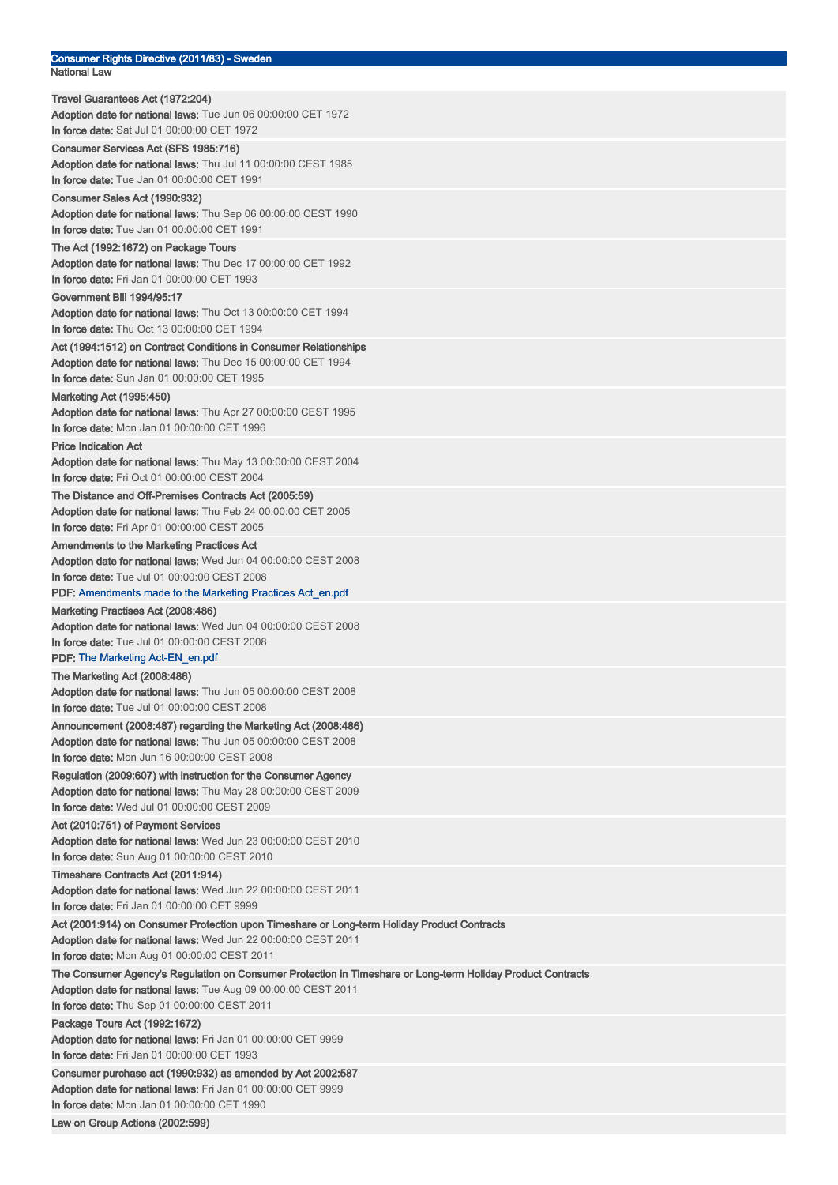| Consumer Rights Directive (2011/83) - Sweden<br><b>National Law</b>                                                                                         |
|-------------------------------------------------------------------------------------------------------------------------------------------------------------|
| Travel Guarantees Act (1972:204)                                                                                                                            |
| Adoption date for national laws: Tue Jun 06 00:00:00 CET 1972                                                                                               |
| In force date: Sat Jul 01 00:00:00 CET 1972                                                                                                                 |
| Consumer Services Act (SFS 1985:716)                                                                                                                        |
| Adoption date for national laws: Thu Jul 11 00:00:00 CEST 1985                                                                                              |
| In force date: Tue Jan 01 00:00:00 CET 1991<br>Consumer Sales Act (1990:932)                                                                                |
| Adoption date for national laws: Thu Sep 06 00:00:00 CEST 1990                                                                                              |
| In force date: Tue Jan 01 00:00:00 CET 1991                                                                                                                 |
| The Act (1992:1672) on Package Tours                                                                                                                        |
| Adoption date for national laws: Thu Dec 17 00:00:00 CET 1992                                                                                               |
| In force date: Fri Jan 01 00:00:00 CET 1993                                                                                                                 |
| Government Bill 1994/95:17                                                                                                                                  |
| Adoption date for national laws: Thu Oct 13 00:00:00 CET 1994<br>In force date: Thu Oct 13 00:00:00 CET 1994                                                |
| Act (1994:1512) on Contract Conditions in Consumer Relationships                                                                                            |
| Adoption date for national laws: Thu Dec 15 00:00:00 CET 1994                                                                                               |
| In force date: Sun Jan 01 00:00:00 CET 1995                                                                                                                 |
| <b>Marketing Act (1995:450)</b>                                                                                                                             |
| Adoption date for national laws: Thu Apr 27 00:00:00 CEST 1995                                                                                              |
| <b>In force date:</b> Mon Jan 01 00:00:00 CET 1996                                                                                                          |
| <b>Price Indication Act</b><br>Adoption date for national laws: Thu May 13 00:00:00 CEST 2004                                                               |
| In force date: Fri Oct 01 00:00:00 CEST 2004                                                                                                                |
| The Distance and Off-Premises Contracts Act (2005:59)                                                                                                       |
| Adoption date for national laws: Thu Feb 24 00:00:00 CET 2005                                                                                               |
| <b>In force date:</b> Fri Apr 01 00:00:00 CEST 2005                                                                                                         |
| Amendments to the Marketing Practices Act                                                                                                                   |
| Adoption date for national laws: Wed Jun 04 00:00:00 CEST 2008<br>In force date: Tue Jul 01 00:00:00 CEST 2008                                              |
| PDF: Amendments made to the Marketing Practices Act_en.pdf                                                                                                  |
| Marketing Practises Act (2008:486)                                                                                                                          |
| Adoption date for national laws: Wed Jun 04 00:00:00 CEST 2008                                                                                              |
| In force date: Tue Jul 01 00:00:00 CEST 2008                                                                                                                |
| <b>PDF: The Marketing Act-EN en.pdf</b>                                                                                                                     |
| The Marketing Act (2008:486)                                                                                                                                |
| <b>Adoption date for national laws:</b> Thu Jun 05 00:00:00 CEST 2008<br>In force date: Tue Jul 01 00:00:00 CEST 2008                                       |
| Announcement (2008:487) regarding the Marketing Act (2008:486)                                                                                              |
| Adoption date for national laws: Thu Jun 05 00:00:00 CEST 2008                                                                                              |
| <b>In force date:</b> Mon Jun 16 00:00:00 CEST 2008                                                                                                         |
| Regulation (2009:607) with instruction for the Consumer Agency                                                                                              |
| Adoption date for national laws: Thu May 28 00:00:00 CEST 2009                                                                                              |
| In force date: Wed Jul 01 00:00:00 CEST 2009                                                                                                                |
| Act (2010:751) of Payment Services<br>Adoption date for national laws: Wed Jun 23 00:00:00 CEST 2010                                                        |
| In force date: Sun Aug 01 00:00:00 CEST 2010                                                                                                                |
| Timeshare Contracts Act (2011:914)                                                                                                                          |
| Adoption date for national laws: Wed Jun 22 00:00:00 CEST 2011                                                                                              |
| In force date: Fri Jan 01 00:00:00 CET 9999                                                                                                                 |
| Act (2001:914) on Consumer Protection upon Timeshare or Long-term Holiday Product Contracts                                                                 |
| Adoption date for national laws: Wed Jun 22 00:00:00 CEST 2011                                                                                              |
| In force date: Mon Aug 01 00:00:00 CEST 2011<br>The Consumer Agency's Regulation on Consumer Protection in Timeshare or Long-term Holiday Product Contracts |
| <b>Adoption date for national laws:</b> Tue Aug 09 00:00:00 CEST 2011                                                                                       |
| In force date: Thu Sep 01 00:00:00 CEST 2011                                                                                                                |
| Package Tours Act (1992:1672)                                                                                                                               |
| <b>Adoption date for national laws:</b> Fri Jan 01 00:00:00 CET 9999                                                                                        |
| In force date: Fri Jan 01 00:00:00 CET 1993                                                                                                                 |
| Consumer purchase act (1990:932) as amended by Act 2002:587<br><b>Adoption date for national laws:</b> Fri Jan 01 00:00:00 CET 9999                         |
| In force date: Mon Jan 01 00:00:00 CET 1990                                                                                                                 |
| Law on Group Actions (2002:599)                                                                                                                             |
|                                                                                                                                                             |